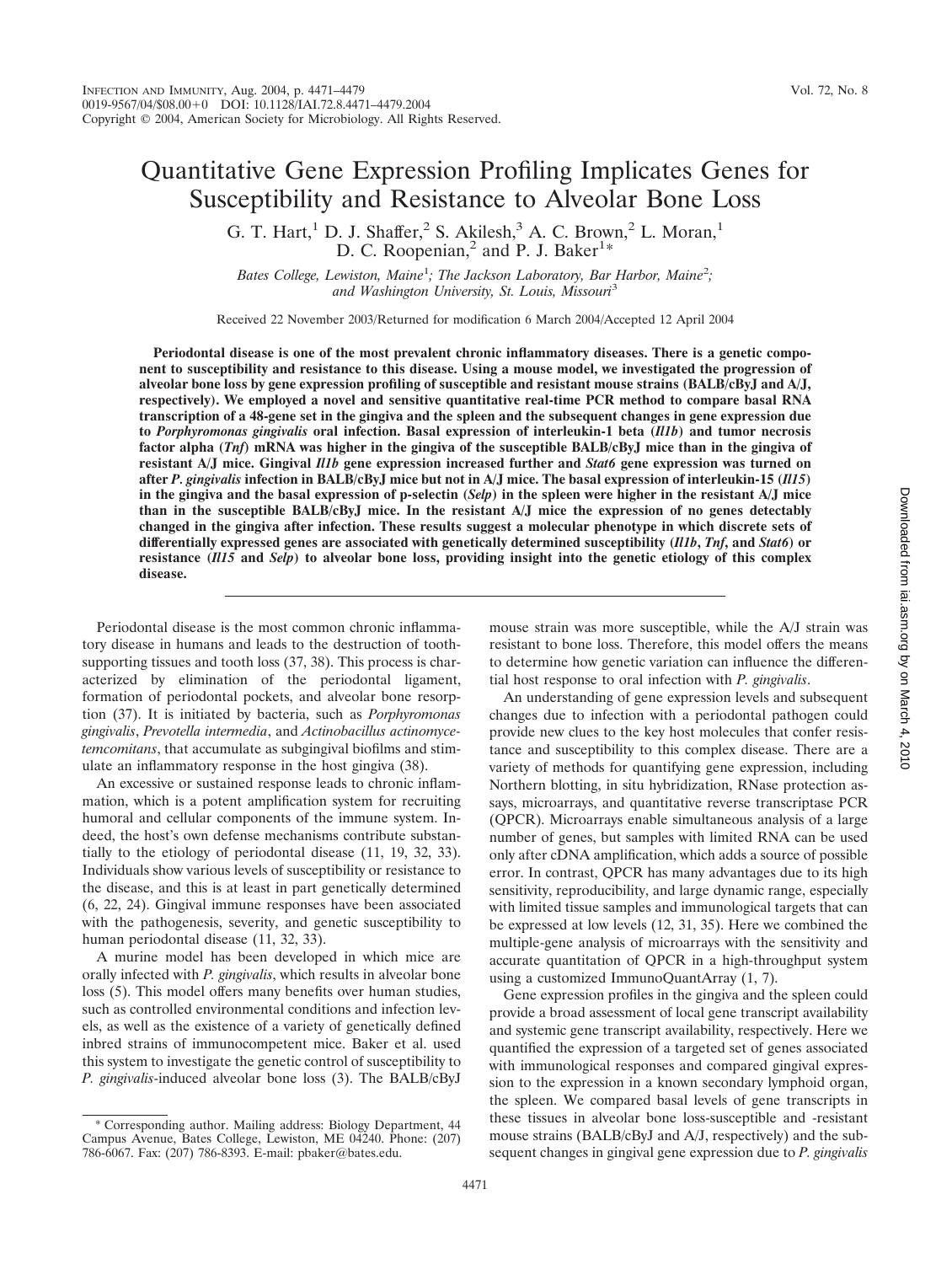# Quantitative Gene Expression Profiling Implicates Genes for Susceptibility and Resistance to Alveolar Bone Loss

G. T. Hart,<sup>1</sup> D. J. Shaffer,<sup>2</sup> S. Akilesh,<sup>3</sup> A. C. Brown,<sup>2</sup> L. Moran,<sup>1</sup> D. C. Roopenian,<sup>2</sup> and P. J. Baker<sup>1\*</sup>

Bates College, Lewiston, Maine<sup>1</sup>; The Jackson Laboratory, Bar Harbor, Maine<sup>2</sup>; *and Washington University, St. Louis, Missouri*<sup>3</sup>

Received 22 November 2003/Returned for modification 6 March 2004/Accepted 12 April 2004

**Periodontal disease is one of the most prevalent chronic inflammatory diseases. There is a genetic component to susceptibility and resistance to this disease. Using a mouse model, we investigated the progression of alveolar bone loss by gene expression profiling of susceptible and resistant mouse strains (BALB/cByJ and A/J, respectively). We employed a novel and sensitive quantitative real-time PCR method to compare basal RNA transcription of a 48-gene set in the gingiva and the spleen and the subsequent changes in gene expression due to** *Porphyromonas gingivalis* **oral infection. Basal expression of interleukin-1 beta (***Il1b***) and tumor necrosis factor alpha (***Tnf***) mRNA was higher in the gingiva of the susceptible BALB/cByJ mice than in the gingiva of resistant A/J mice. Gingival** *Il1b* **gene expression increased further and** *Stat6* **gene expression was turned on after** *P. gingivalis* **infection in BALB/cByJ mice but not in A/J mice. The basal expression of interleukin-15 (***Il15***) in the gingiva and the basal expression of p-selectin (***Selp***) in the spleen were higher in the resistant A/J mice than in the susceptible BALB/cByJ mice. In the resistant A/J mice the expression of no genes detectably changed in the gingiva after infection. These results suggest a molecular phenotype in which discrete sets of differentially expressed genes are associated with genetically determined susceptibility (***Il1b***,** *Tnf***, and** *Stat6***) or resistance (***Il15* **and** *Selp***) to alveolar bone loss, providing insight into the genetic etiology of this complex disease.**

Periodontal disease is the most common chronic inflammatory disease in humans and leads to the destruction of toothsupporting tissues and tooth loss (37, 38). This process is characterized by elimination of the periodontal ligament, formation of periodontal pockets, and alveolar bone resorption (37). It is initiated by bacteria, such as *Porphyromonas gingivalis*, *Prevotella intermedia*, and *Actinobacillus actinomycetemcomitans*, that accumulate as subgingival biofilms and stimulate an inflammatory response in the host gingiva (38).

An excessive or sustained response leads to chronic inflammation, which is a potent amplification system for recruiting humoral and cellular components of the immune system. Indeed, the host's own defense mechanisms contribute substantially to the etiology of periodontal disease (11, 19, 32, 33). Individuals show various levels of susceptibility or resistance to the disease, and this is at least in part genetically determined (6, 22, 24). Gingival immune responses have been associated with the pathogenesis, severity, and genetic susceptibility to human periodontal disease (11, 32, 33).

A murine model has been developed in which mice are orally infected with *P. gingivalis*, which results in alveolar bone loss (5). This model offers many benefits over human studies, such as controlled environmental conditions and infection levels, as well as the existence of a variety of genetically defined inbred strains of immunocompetent mice. Baker et al. used this system to investigate the genetic control of susceptibility to *P. gingivalis*-induced alveolar bone loss (3). The BALB/cByJ mouse strain was more susceptible, while the A/J strain was resistant to bone loss. Therefore, this model offers the means to determine how genetic variation can influence the differential host response to oral infection with *P. gingivalis*.

An understanding of gene expression levels and subsequent changes due to infection with a periodontal pathogen could provide new clues to the key host molecules that confer resistance and susceptibility to this complex disease. There are a variety of methods for quantifying gene expression, including Northern blotting, in situ hybridization, RNase protection assays, microarrays, and quantitative reverse transcriptase PCR (QPCR). Microarrays enable simultaneous analysis of a large number of genes, but samples with limited RNA can be used only after cDNA amplification, which adds a source of possible error. In contrast, QPCR has many advantages due to its high sensitivity, reproducibility, and large dynamic range, especially with limited tissue samples and immunological targets that can be expressed at low levels (12, 31, 35). Here we combined the multiple-gene analysis of microarrays with the sensitivity and accurate quantitation of QPCR in a high-throughput system using a customized ImmunoQuantArray (1, 7).

Gene expression profiles in the gingiva and the spleen could provide a broad assessment of local gene transcript availability and systemic gene transcript availability, respectively. Here we quantified the expression of a targeted set of genes associated with immunological responses and compared gingival expression to the expression in a known secondary lymphoid organ, the spleen. We compared basal levels of gene transcripts in these tissues in alveolar bone loss-susceptible and -resistant mouse strains (BALB/cByJ and A/J, respectively) and the subsequent changes in gingival gene expression due to *P. gingivalis*

<sup>\*</sup> Corresponding author. Mailing address: Biology Department, 44 Campus Avenue, Bates College, Lewiston, ME 04240. Phone: (207) 786-6067. Fax: (207) 786-8393. E-mail: pbaker@bates.edu.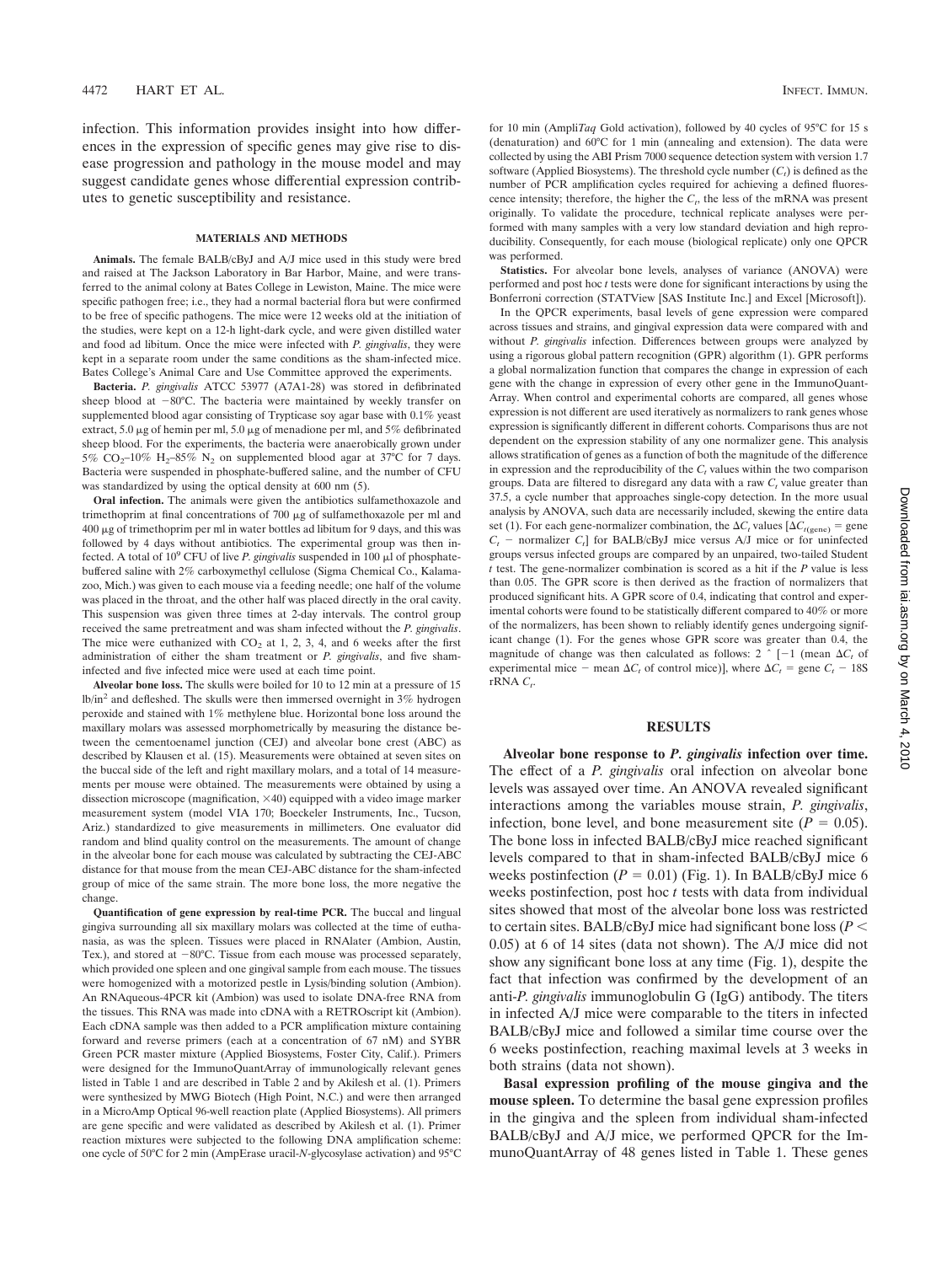infection. This information provides insight into how differences in the expression of specific genes may give rise to disease progression and pathology in the mouse model and may suggest candidate genes whose differential expression contributes to genetic susceptibility and resistance.

#### **MATERIALS AND METHODS**

**Animals.** The female BALB/cByJ and A/J mice used in this study were bred and raised at The Jackson Laboratory in Bar Harbor, Maine, and were transferred to the animal colony at Bates College in Lewiston, Maine. The mice were specific pathogen free; i.e., they had a normal bacterial flora but were confirmed to be free of specific pathogens. The mice were 12 weeks old at the initiation of the studies, were kept on a 12-h light-dark cycle, and were given distilled water and food ad libitum. Once the mice were infected with *P. gingivalis*, they were kept in a separate room under the same conditions as the sham-infected mice. Bates College's Animal Care and Use Committee approved the experiments.

**Bacteria.** *P. gingivalis* ATCC 53977 (A7A1-28) was stored in defibrinated sheep blood at -80°C. The bacteria were maintained by weekly transfer on supplemented blood agar consisting of Trypticase soy agar base with 0.1% yeast extract, 5.0  $\mu$ g of hemin per ml, 5.0  $\mu$ g of menadione per ml, and 5% defibrinated sheep blood. For the experiments, the bacteria were anaerobically grown under 5%  $CO_2$ -10% H<sub>2</sub>-85% N<sub>2</sub> on supplemented blood agar at 37°C for 7 days. Bacteria were suspended in phosphate-buffered saline, and the number of CFU was standardized by using the optical density at 600 nm (5).

**Oral infection.** The animals were given the antibiotics sulfamethoxazole and trimethoprim at final concentrations of  $700 \mu g$  of sulfamethoxazole per ml and  $400 \mu g$  of trimethoprim per ml in water bottles ad libitum for 9 days, and this was followed by 4 days without antibiotics. The experimental group was then infected. A total of  $10^9$  CFU of live *P. gingivalis* suspended in  $100 \mu$ l of phosphatebuffered saline with 2% carboxymethyl cellulose (Sigma Chemical Co., Kalamazoo, Mich.) was given to each mouse via a feeding needle; one half of the volume was placed in the throat, and the other half was placed directly in the oral cavity. This suspension was given three times at 2-day intervals. The control group received the same pretreatment and was sham infected without the *P. gingivalis*. The mice were euthanized with  $CO<sub>2</sub>$  at 1, 2, 3, 4, and 6 weeks after the first administration of either the sham treatment or *P. gingivalis*, and five shaminfected and five infected mice were used at each time point.

**Alveolar bone loss.** The skulls were boiled for 10 to 12 min at a pressure of 15 lb/in<sup>2</sup> and defleshed. The skulls were then immersed overnight in 3% hydrogen peroxide and stained with 1% methylene blue. Horizontal bone loss around the maxillary molars was assessed morphometrically by measuring the distance between the cementoenamel junction (CEJ) and alveolar bone crest (ABC) as described by Klausen et al. (15). Measurements were obtained at seven sites on the buccal side of the left and right maxillary molars, and a total of 14 measurements per mouse were obtained. The measurements were obtained by using a dissection microscope (magnification, 40) equipped with a video image marker measurement system (model VIA 170; Boeckeler Instruments, Inc., Tucson, Ariz.) standardized to give measurements in millimeters. One evaluator did random and blind quality control on the measurements. The amount of change in the alveolar bone for each mouse was calculated by subtracting the CEJ-ABC distance for that mouse from the mean CEJ-ABC distance for the sham-infected group of mice of the same strain. The more bone loss, the more negative the change.

**Quantification of gene expression by real-time PCR.** The buccal and lingual gingiva surrounding all six maxillary molars was collected at the time of euthanasia, as was the spleen. Tissues were placed in RNAlater (Ambion, Austin, Tex.), and stored at  $-80^{\circ}$ C. Tissue from each mouse was processed separately, which provided one spleen and one gingival sample from each mouse. The tissues were homogenized with a motorized pestle in Lysis/binding solution (Ambion). An RNAqueous-4PCR kit (Ambion) was used to isolate DNA-free RNA from the tissues. This RNA was made into cDNA with a RETROscript kit (Ambion). Each cDNA sample was then added to a PCR amplification mixture containing forward and reverse primers (each at a concentration of 67 nM) and SYBR Green PCR master mixture (Applied Biosystems, Foster City, Calif.). Primers were designed for the ImmunoQuantArray of immunologically relevant genes listed in Table 1 and are described in Table 2 and by Akilesh et al. (1). Primers were synthesized by MWG Biotech (High Point, N.C.) and were then arranged in a MicroAmp Optical 96-well reaction plate (Applied Biosystems). All primers are gene specific and were validated as described by Akilesh et al. (1). Primer reaction mixtures were subjected to the following DNA amplification scheme: one cycle of 50°C for 2 min (AmpErase uracil-*N*-glycosylase activation) and 95°C for 10 min (Ampli*Taq* Gold activation), followed by 40 cycles of 95°C for 15 s (denaturation) and 60°C for 1 min (annealing and extension). The data were collected by using the ABI Prism 7000 sequence detection system with version 1.7 software (Applied Biosystems). The threshold cycle number  $(C_t)$  is defined as the number of PCR amplification cycles required for achieving a defined fluorescence intensity; therefore, the higher the  $C_t$ , the less of the mRNA was present originally. To validate the procedure, technical replicate analyses were performed with many samples with a very low standard deviation and high reproducibility. Consequently, for each mouse (biological replicate) only one QPCR was performed.

**Statistics.** For alveolar bone levels, analyses of variance (ANOVA) were performed and post hoc *t* tests were done for significant interactions by using the Bonferroni correction (STATView [SAS Institute Inc.] and Excel [Microsoft]).

In the QPCR experiments, basal levels of gene expression were compared across tissues and strains, and gingival expression data were compared with and without *P. gingivalis* infection. Differences between groups were analyzed by using a rigorous global pattern recognition (GPR) algorithm (1). GPR performs a global normalization function that compares the change in expression of each gene with the change in expression of every other gene in the ImmunoQuant-Array. When control and experimental cohorts are compared, all genes whose expression is not different are used iteratively as normalizers to rank genes whose expression is significantly different in different cohorts. Comparisons thus are not dependent on the expression stability of any one normalizer gene. This analysis allows stratification of genes as a function of both the magnitude of the difference in expression and the reproducibility of the  $C_t$  values within the two comparison groups. Data are filtered to disregard any data with a raw  $C<sub>t</sub>$  value greater than 37.5, a cycle number that approaches single-copy detection. In the more usual analysis by ANOVA, such data are necessarily included, skewing the entire data set (1). For each gene-normalizer combination, the  $\Delta C_t$  values  $[\Delta C_{t(\text{gene})} = \text{gene}$  $C_t$  – normalizer  $C_t$  for BALB/cByJ mice versus A/J mice or for uninfected groups versus infected groups are compared by an unpaired, two-tailed Student *t* test. The gene-normalizer combination is scored as a hit if the *P* value is less than 0.05. The GPR score is then derived as the fraction of normalizers that produced significant hits. A GPR score of 0.4, indicating that control and experimental cohorts were found to be statistically different compared to 40% or more of the normalizers, has been shown to reliably identify genes undergoing significant change (1). For the genes whose GPR score was greater than 0.4, the magnitude of change was then calculated as follows:  $2 \uparrow [-1 \text{ (mean } \Delta C_t \text{ of}$ experimental mice – mean  $\Delta C_t$  of control mice)], where  $\Delta C_t$  = gene  $C_t$  – 18S  $rRNA C_t$ .

## **RESULTS**

**Alveolar bone response to** *P. gingivalis* **infection over time.** The effect of a *P. gingivalis* oral infection on alveolar bone levels was assayed over time. An ANOVA revealed significant interactions among the variables mouse strain, *P. gingivalis*, infection, bone level, and bone measurement site  $(P = 0.05)$ . The bone loss in infected BALB/cByJ mice reached significant levels compared to that in sham-infected BALB/cByJ mice 6 weeks postinfection  $(P = 0.01)$  (Fig. 1). In BALB/cByJ mice 6 weeks postinfection, post hoc *t* tests with data from individual sites showed that most of the alveolar bone loss was restricted to certain sites. BALB/cByJ mice had significant bone loss (*P* 0.05) at 6 of 14 sites (data not shown). The A/J mice did not show any significant bone loss at any time (Fig. 1), despite the fact that infection was confirmed by the development of an anti-*P. gingivalis* immunoglobulin G (IgG) antibody. The titers in infected A/J mice were comparable to the titers in infected BALB/cByJ mice and followed a similar time course over the 6 weeks postinfection, reaching maximal levels at 3 weeks in both strains (data not shown).

**Basal expression profiling of the mouse gingiva and the mouse spleen.** To determine the basal gene expression profiles in the gingiva and the spleen from individual sham-infected BALB/cByJ and A/J mice, we performed QPCR for the ImmunoQuantArray of 48 genes listed in Table 1. These genes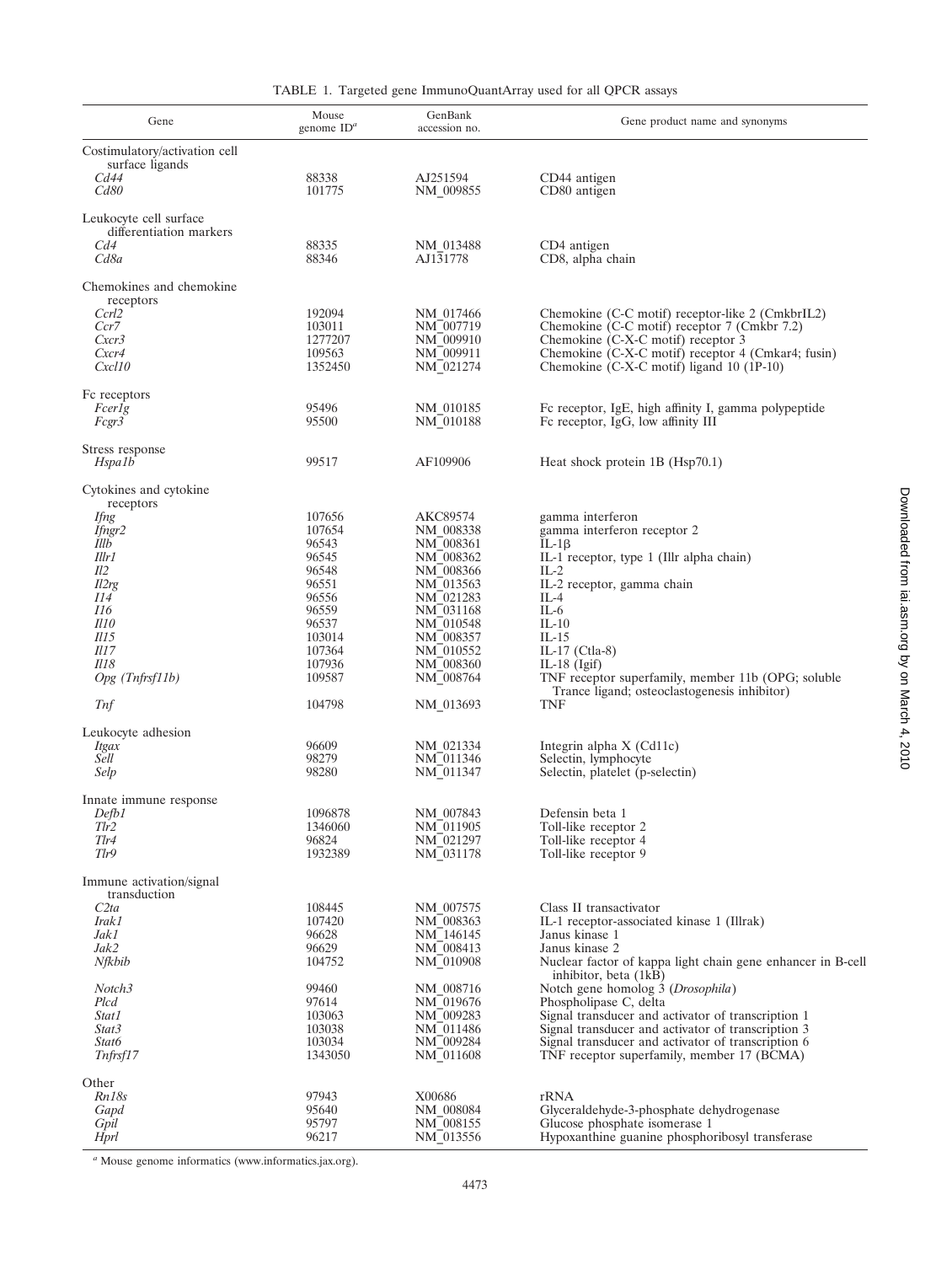| Gene                                                                                                            | Mouse<br>genome $ID^a$ | GenBank<br>accession no. | Gene product name and synonyms                                                                     |  |
|-----------------------------------------------------------------------------------------------------------------|------------------------|--------------------------|----------------------------------------------------------------------------------------------------|--|
| Costimulatory/activation cell<br>surface ligands                                                                |                        |                          |                                                                                                    |  |
| Cd44<br>Cd80                                                                                                    | 88338<br>101775        | AJ251594<br>NM 009855    | CD44 antigen<br>CD80 antigen                                                                       |  |
| Leukocyte cell surface<br>differentiation markers                                                               |                        |                          |                                                                                                    |  |
| Cd4                                                                                                             | 88335                  | NM 013488                | CD4 antigen                                                                                        |  |
| Cd8a                                                                                                            | 88346                  | AJ $1\overline{3}1778$   | CD8, alpha chain                                                                                   |  |
| Chemokines and chemokine<br>receptors                                                                           |                        |                          |                                                                                                    |  |
| Ccrl2                                                                                                           | 192094                 | NM 017466                | Chemokine (C-C motif) receptor-like 2 (CmkbrIL2)                                                   |  |
| Ccr7<br>Cxcr3                                                                                                   | 103011<br>1277207      | NM 007719<br>NM 009910   | Chemokine (C-C motif) receptor 7 (Cmkbr 7.2)<br>Chemokine (C-X-C motif) receptor 3                 |  |
| Cxcr4                                                                                                           | 109563                 | NM 009911                | Chemokine (C-X-C motif) receptor 4 (Cmkar4; fusin)                                                 |  |
| Cxcl10                                                                                                          | 1352450                | NM 021274                | Chemokine (C-X-C motif) ligand 10 (1P-10)                                                          |  |
| Fc receptors                                                                                                    |                        |                          |                                                                                                    |  |
| Fcerlg                                                                                                          | 95496                  | NM 010185                | Fc receptor, IgE, high affinity I, gamma polypeptide                                               |  |
| Fcgr3                                                                                                           | 95500                  | NM 010188                | Fc receptor, IgG, low affinity III                                                                 |  |
| Stress response                                                                                                 |                        |                          |                                                                                                    |  |
| Hspa1b                                                                                                          | 99517                  | AF109906                 | Heat shock protein 1B (Hsp70.1)                                                                    |  |
| Cytokines and cytokine<br>receptors                                                                             |                        |                          |                                                                                                    |  |
| <i>Ifng</i>                                                                                                     | 107656                 | AKC89574                 | gamma interferon                                                                                   |  |
| Ifngr2<br>Illb                                                                                                  | 107654<br>96543        | NM 008338<br>NM 008361   | gamma interferon receptor 2<br>$IL-1\beta$                                                         |  |
| Illr1                                                                                                           | 96545                  | NM 008362                | IL-1 receptor, type 1 (Illr alpha chain)                                                           |  |
| Il2                                                                                                             | 96548                  | NM 008366                | $IL-2$                                                                                             |  |
| Il2rg                                                                                                           | 96551                  | NM 013563                | IL-2 receptor, gamma chain                                                                         |  |
| II4                                                                                                             | 96556                  | NM 021283                | $IL-4$                                                                                             |  |
| <i>I16</i><br>I110                                                                                              | 96559<br>96537         | NM 031168<br>NM 010548   | $IL-6$<br>$IL-10$                                                                                  |  |
| $\overline{I}$                                                                                                  | 103014                 | NM 008357                | $IL-15$                                                                                            |  |
| <i>Il17</i>                                                                                                     | 107364                 | NM 010552                | IL-17 (Ctla-8)                                                                                     |  |
| <i>Il18</i>                                                                                                     | 107936                 | NM 008360                | IL-18 $(Igif)$                                                                                     |  |
| $Opg$ (Tnfrsf11b)                                                                                               | 109587                 | NM_008764                | TNF receptor superfamily, member 11b (OPG; soluble<br>Trance ligand; osteoclastogenesis inhibitor) |  |
| Tnf                                                                                                             | 104798                 | NM 013693                | <b>TNF</b>                                                                                         |  |
| Leukocyte adhesion                                                                                              |                        |                          |                                                                                                    |  |
| <b>Itgax</b>                                                                                                    | 96609                  | NM 021334                | Integrin alpha X (Cd11c)                                                                           |  |
| Sell<br>Selp                                                                                                    | 98279<br>98280         | NM 011346<br>NM 011347   | Selectin, lymphocyte<br>Selectin, platelet (p-selectin)                                            |  |
|                                                                                                                 |                        |                          |                                                                                                    |  |
| Innate immune response                                                                                          | 1096878                |                          |                                                                                                    |  |
| $\ensuremath{\mathcal{D}}\xspace e\!\ensuremath{\mathcal{f}}\xspace b\!\ensuremath{\mathcal{I}}\xspace$<br>Tlr2 | 1346060                | NM_007843<br>NM 011905   | Defensin beta 1<br>Toll-like receptor 2                                                            |  |
| Tlr4                                                                                                            | 96824                  | NM 021297                | Toll-like receptor 4                                                                               |  |
| Tlr9                                                                                                            | 1932389                | NM 031178                | Toll-like receptor 9                                                                               |  |
| Immune activation/signal<br>transduction                                                                        |                        |                          |                                                                                                    |  |
| C2ta                                                                                                            | 108445                 | NM 007575                | Class II transactivator                                                                            |  |
| Irak1<br>Jak1                                                                                                   | 107420<br>96628        | NM 008363<br>NM 146145   | IL-1 receptor-associated kinase 1 (Illrak)<br>Janus kinase 1                                       |  |
| Jak2                                                                                                            | 96629                  | NM 008413                | Janus kinase 2                                                                                     |  |
| Nfkbib                                                                                                          | 104752                 | NM 010908                | Nuclear factor of kappa light chain gene enhancer in B-cell<br>inhibitor, beta (1kB)               |  |
| Notch3                                                                                                          | 99460                  | NM 008716                | Notch gene homolog 3 (Drosophila)                                                                  |  |
| Plcd<br>Stat1                                                                                                   | 97614<br>103063        | NM 019676<br>NM 009283   | Phospholipase C, delta<br>Signal transducer and activator of transcription 1                       |  |
| Stat3                                                                                                           | 103038                 | NM 011486                | Signal transducer and activator of transcription 3                                                 |  |
| Stat6                                                                                                           | 103034                 | NM 009284                | Signal transducer and activator of transcription 6                                                 |  |
| Tnfrsf17                                                                                                        | 1343050                | NM 011608                | TNF receptor superfamily, member 17 (BCMA)                                                         |  |
| Other                                                                                                           |                        |                          |                                                                                                    |  |
| Rn18s                                                                                                           | 97943                  | X00686                   | rRNA                                                                                               |  |
| Gapd<br>Gpil                                                                                                    | 95640<br>95797         | NM 008084<br>NM 008155   | Glyceraldehyde-3-phosphate dehydrogenase<br>Glucose phosphate isomerase 1                          |  |
| Hprl                                                                                                            | 96217                  | NM 013556                | Hypoxanthine guanine phosphoribosyl transferase                                                    |  |

*<sup>a</sup>* Mouse genome informatics (www.informatics.jax.org).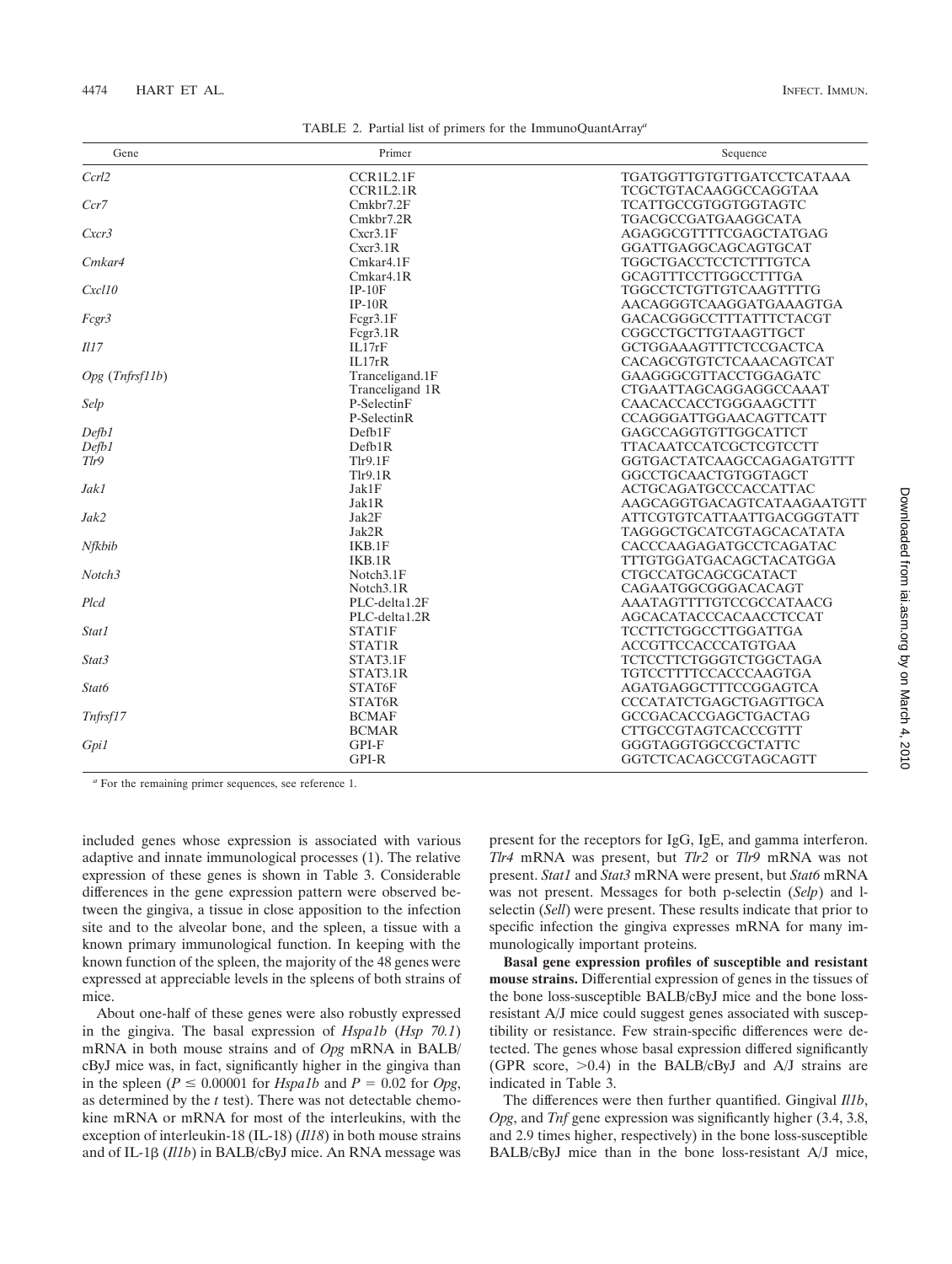| TABLE 2. Partial list of primers for the ImmunoQuantArray <sup>a</sup> |  |  |  |  |
|------------------------------------------------------------------------|--|--|--|--|
|------------------------------------------------------------------------|--|--|--|--|

| Gene            | Primer                  | Sequence                      |  |
|-----------------|-------------------------|-------------------------------|--|
| Ccrl2           | CCR1L2.1F               | TGATGGTTGTGTTGATCCTCATAAA     |  |
|                 | CCR1L2.1R               | TCGCTGTACAAGGCCAGGTAA         |  |
| Ccr7            | Cmkbr7.2F               | <b>TCATTGCCGTGGTGGTAGTC</b>   |  |
|                 | Cmkbr7.2R               | TGACGCCGATGAAGGCATA           |  |
| Cxcr3           | Cxcr3.1F                | AGAGGCGTTTTCGAGCTATGAG        |  |
|                 | Cxcr3.1R                | GGATTGAGGCAGCAGTGCAT          |  |
| Cmkar4          | Cmkar4.1F               | TGGCTGACCTCCTCTTTGTCA         |  |
|                 | Cmkar <sub>4.1R</sub>   | GCAGTTTCCTTGGCCTTTGA          |  |
| Cxcl10          | $IP-10F$                | <b>TGGCCTCTGTTGTCAAGTTTTG</b> |  |
|                 | $IP-10R$                | AACAGGGTCAAGGATGAAAGTGA       |  |
| Fcgr3           | Fcgr3.1F                | GACACGGGCCTTTATTTCTACGT       |  |
|                 | Fcgr3.1R                | CGGCCTGCTTGTAAGTTGCT          |  |
| III7            | IL17rF                  | <b>GCTGGAAAGTTTCTCCGACTCA</b> |  |
|                 | II.17rR                 | CACAGCGTGTCTCAAACAGTCAT       |  |
| Opg (Tnfrsf11b) | Tranceligand.1F         | GAAGGGCGTTACCTGGAGATC         |  |
|                 | Tranceligand 1R         | CTGAATTAGCAGGAGGCCAAAT        |  |
| Selp            | P-Selectin <sub>F</sub> | CAACACCACCTGGGAAGCTTT         |  |
|                 | P-Selectin <sub>R</sub> | CCAGGGATTGGAACAGTTCATT        |  |
| Defb1           | Defb1F                  | GAGCCAGGTGTTGGCATTCT          |  |
| Defb1           | Defb1R                  | <b>TTACAATCCATCGCTCGTCCTT</b> |  |
| Tlr9            | Tlr9.1F                 | GGTGACTATCAAGCCAGAGATGTTT     |  |
|                 | Tlr9.1R                 | GGCCTGCAACTGTGGTAGCT          |  |
| Jak1            | Jak1F                   | <b>ACTGCAGATGCCCACCATTAC</b>  |  |
|                 | Jak1R                   | AAGCAGGTGACAGTCATAAGAATGTT    |  |
| Jak2            | Jak2F                   | ATTCGTGTCATTAATTGACGGGTATT    |  |
|                 | Jak2R                   | TAGGGCTGCATCGTAGCACATATA      |  |
| Nfkbib          | IKB.1F                  | CACCCAAGAGATGCCTCAGATAC       |  |
|                 | IKB.1R                  | TTTGTGGATGACAGCTACATGGA       |  |
| Notch3          | Notch3.1F               | CTGCCATGCAGCGCATACT           |  |
|                 | Notch <sub>3.1R</sub>   | CAGAATGGCGGGACACAGT           |  |
| Plcd            | PLC-delta1.2F           | AAATAGTTTTGTCCGCCATAACG       |  |
|                 | PLC-delta1.2R           | <b>AGCACATACCCACAACCTCCAT</b> |  |
| Stat1           | STAT1F                  | TCCTTCTGGCCTTGGATTGA          |  |
|                 | STAT1R                  | <b>ACCGTTCCACCCATGTGAA</b>    |  |
| Stat3           | STAT3.1F                | <b>TCTCCTTCTGGGTCTGGCTAGA</b> |  |
|                 | STAT3.1R                | <b>TGTCCTTTTCCACCCAAGTGA</b>  |  |
| Stat6           | STAT6F                  | AGATGAGGCTTTCCGGAGTCA         |  |
|                 | STAT6R                  | CCCATATCTGAGCTGAGTTGCA        |  |
| Tnfrsf17        | <b>BCMAF</b>            | <b>GCCGACACCGAGCTGACTAG</b>   |  |
|                 | <b>BCMAR</b>            | <b>CTTGCCGTAGTCACCCGTTT</b>   |  |
| Gpi1            | GPI-F                   | GGGTAGGTGGCCGCTATTC           |  |
|                 | GPI-R                   | GGTCTCACAGCCGTAGCAGTT         |  |
|                 |                         |                               |  |

*<sup>a</sup>* For the remaining primer sequences, see reference 1.

included genes whose expression is associated with various adaptive and innate immunological processes (1). The relative expression of these genes is shown in Table 3. Considerable differences in the gene expression pattern were observed between the gingiva, a tissue in close apposition to the infection site and to the alveolar bone, and the spleen, a tissue with a known primary immunological function. In keeping with the known function of the spleen, the majority of the 48 genes were expressed at appreciable levels in the spleens of both strains of mice.

About one-half of these genes were also robustly expressed in the gingiva. The basal expression of *Hspa1b* (*Hsp 70.1*) mRNA in both mouse strains and of *Opg* mRNA in BALB/ cByJ mice was, in fact, significantly higher in the gingiva than in the spleen ( $P \le 0.00001$  for *Hspa1b* and  $P = 0.02$  for *Opg*, as determined by the *t* test). There was not detectable chemokine mRNA or mRNA for most of the interleukins, with the exception of interleukin-18 (IL-18) (*Il18*) in both mouse strains and of IL-1 $\beta$  (*Il1b*) in BALB/cByJ mice. An RNA message was present for the receptors for IgG, IgE, and gamma interferon. *Tlr4* mRNA was present, but *Tlr2* or *Tlr9* mRNA was not present. *Stat1* and *Stat3* mRNA were present, but *Stat6* mRNA was not present. Messages for both p-selectin (*Selp*) and lselectin (*Sell*) were present. These results indicate that prior to specific infection the gingiva expresses mRNA for many immunologically important proteins.

**Basal gene expression profiles of susceptible and resistant mouse strains.** Differential expression of genes in the tissues of the bone loss-susceptible BALB/cByJ mice and the bone lossresistant A/J mice could suggest genes associated with susceptibility or resistance. Few strain-specific differences were detected. The genes whose basal expression differed significantly (GPR score,  $>0.4$ ) in the BALB/cByJ and A/J strains are indicated in Table 3.

The differences were then further quantified. Gingival *Il1b*, *Opg*, and *Tnf* gene expression was significantly higher (3.4, 3.8, and 2.9 times higher, respectively) in the bone loss-susceptible BALB/cByJ mice than in the bone loss-resistant A/J mice,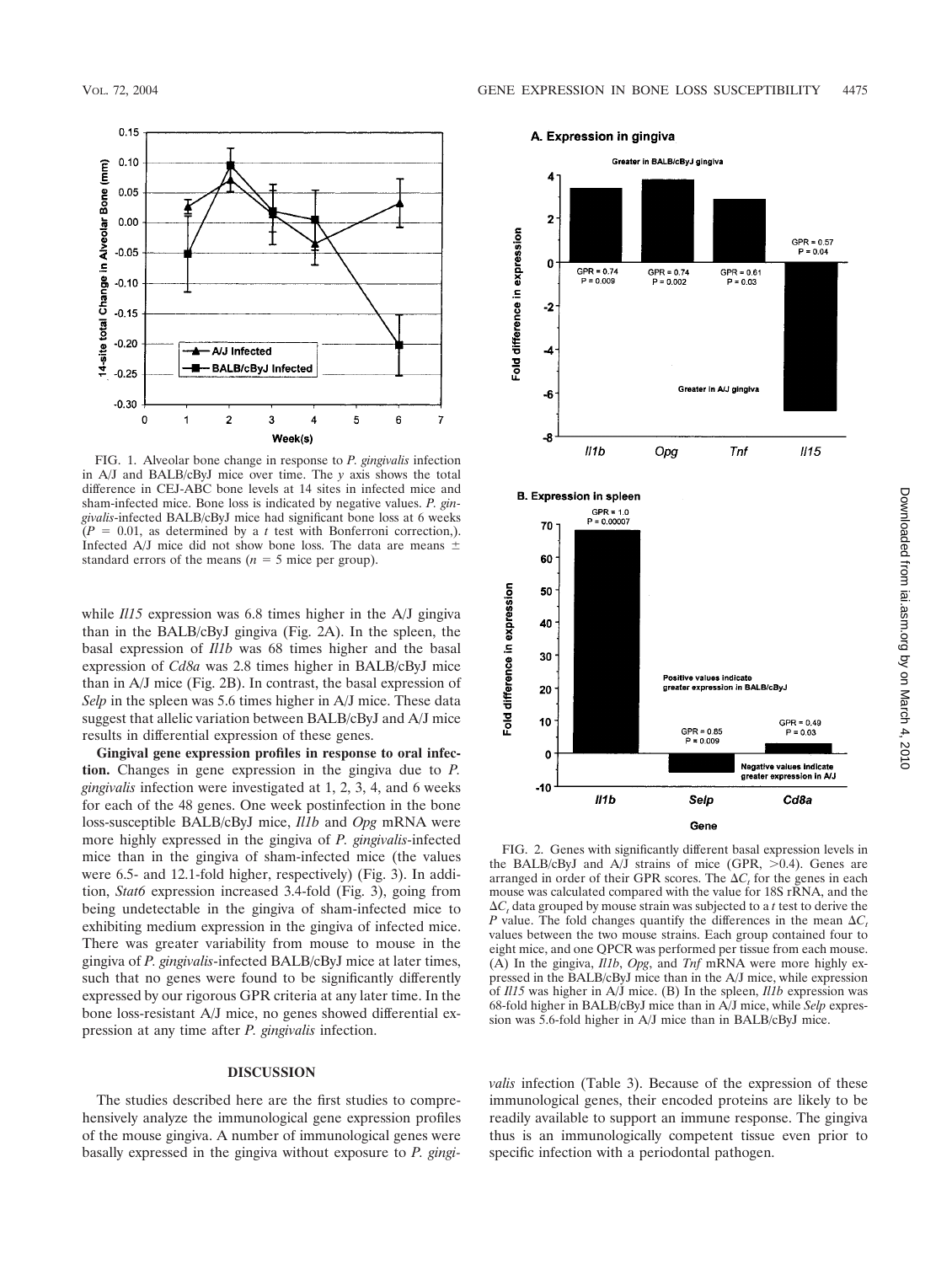

FIG. 1. Alveolar bone change in response to *P. gingivalis* infection in A/J and BALB/cByJ mice over time. The *y* axis shows the total difference in CEJ-ABC bone levels at 14 sites in infected mice and sham-infected mice. Bone loss is indicated by negative values. *P. gingivalis*-infected BALB/cByJ mice had significant bone loss at 6 weeks  $(P = 0.01$ , as determined by a *t* test with Bonferroni correction,). Infected A/J mice did not show bone loss. The data are means  $\pm$ standard errors of the means  $(n = 5$  mice per group).

while *Il15* expression was 6.8 times higher in the A/J gingiva than in the BALB/cByJ gingiva (Fig. 2A). In the spleen, the basal expression of *Il1b* was 68 times higher and the basal expression of *Cd8a* was 2.8 times higher in BALB/cByJ mice than in A/J mice (Fig. 2B). In contrast, the basal expression of *Selp* in the spleen was 5.6 times higher in A/J mice. These data suggest that allelic variation between BALB/cByJ and A/J mice results in differential expression of these genes.

**Gingival gene expression profiles in response to oral infection.** Changes in gene expression in the gingiva due to *P. gingivalis* infection were investigated at 1, 2, 3, 4, and 6 weeks for each of the 48 genes. One week postinfection in the bone loss-susceptible BALB/cByJ mice, *Il1b* and *Opg* mRNA were more highly expressed in the gingiva of *P. gingivalis*-infected mice than in the gingiva of sham-infected mice (the values were 6.5- and 12.1-fold higher, respectively) (Fig. 3). In addition, *Stat6* expression increased 3.4-fold (Fig. 3), going from being undetectable in the gingiva of sham-infected mice to exhibiting medium expression in the gingiva of infected mice. There was greater variability from mouse to mouse in the gingiva of *P. gingivalis*-infected BALB/cByJ mice at later times, such that no genes were found to be significantly differently expressed by our rigorous GPR criteria at any later time. In the bone loss-resistant A/J mice, no genes showed differential expression at any time after *P. gingivalis* infection.

## **DISCUSSION**

The studies described here are the first studies to comprehensively analyze the immunological gene expression profiles of the mouse gingiva. A number of immunological genes were basally expressed in the gingiva without exposure to *P. gingi-*



the BALB/cByJ and  $A/\overline{J}$  strains of mice (GPR,  $>0.4$ ). Genes are arranged in order of their GPR scores. The  $\Delta C_t$  for the genes in each mouse was calculated compared with the value for 18S rRNA, and the  $\Delta C_t$  data grouped by mouse strain was subjected to a *t* test to derive the *P* value. The fold changes quantify the differences in the mean  $\Delta C$ . values between the two mouse strains. Each group contained four to eight mice, and one QPCR was performed per tissue from each mouse. (A) In the gingiva, *Il1b*, *Opg*, and *Tnf* mRNA were more highly expressed in the BALB/cByJ mice than in the A/J mice, while expression of *Il15* was higher in A/J mice. (B) In the spleen, *Il1b* expression was 68-fold higher in BALB/cByJ mice than in A/J mice, while *Selp* expression was 5.6-fold higher in A/J mice than in BALB/cByJ mice.

*valis* infection (Table 3). Because of the expression of these immunological genes, their encoded proteins are likely to be readily available to support an immune response. The gingiva thus is an immunologically competent tissue even prior to specific infection with a periodontal pathogen.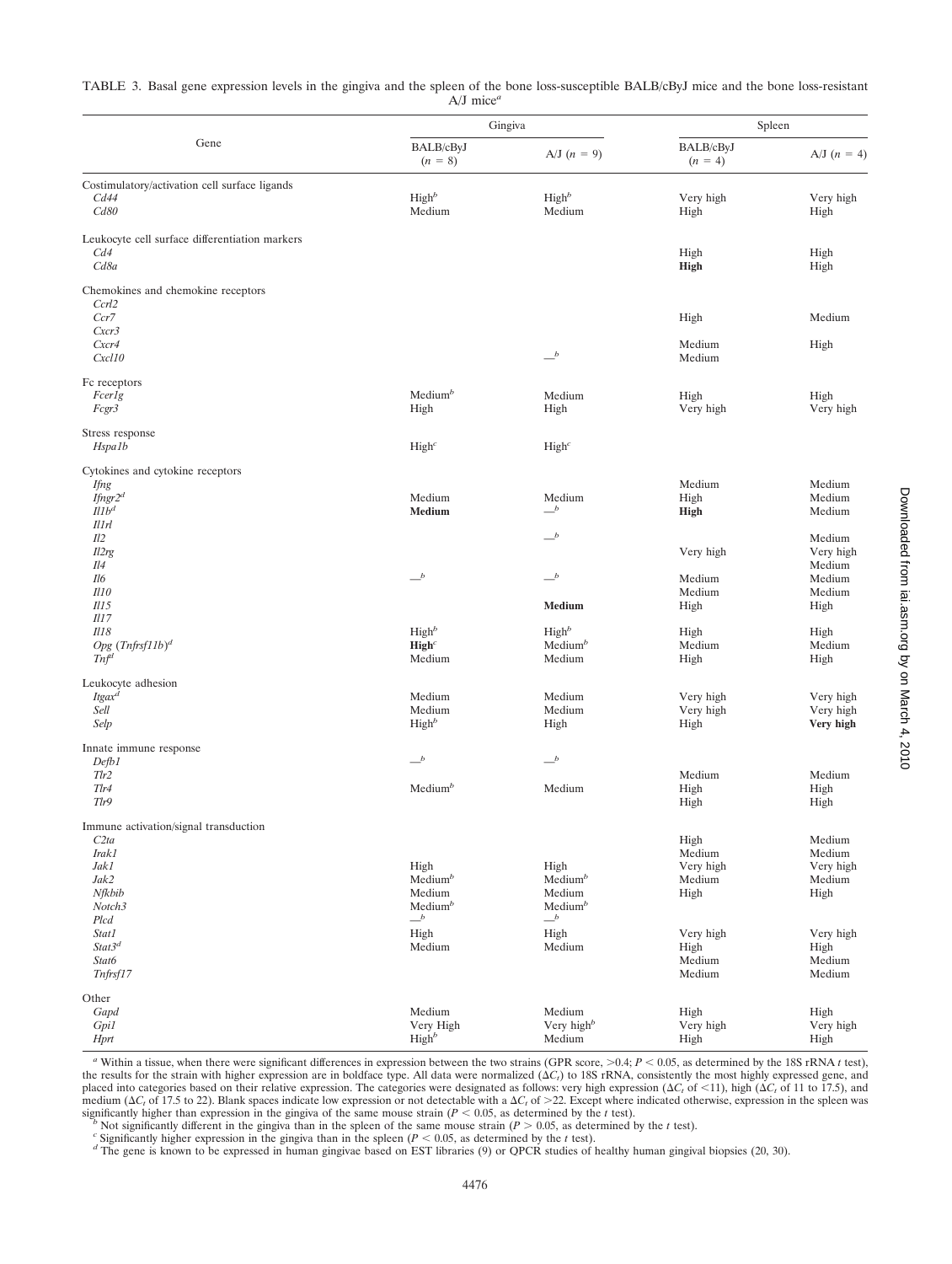TABLE 3. Basal gene expression levels in the gingiva and the spleen of the bone loss-susceptible BALB/cByJ mice and the bone loss-resistant A/J mice*<sup>a</sup>*

|                                                | Gingiva                       |                               | Spleen                 |                        |
|------------------------------------------------|-------------------------------|-------------------------------|------------------------|------------------------|
| Gene                                           | BALB/cByJ<br>$(n = 8)$        | $A/J (n = 9)$                 | BALB/cByJ<br>$(n = 4)$ | A/J $(n = 4)$          |
| Costimulatory/activation cell surface ligands  |                               |                               |                        |                        |
| Cd44                                           | High <sup>b</sup>             | High <sup>b</sup>             | Very high              | Very high              |
| Cd80                                           | Medium                        | Medium                        | High                   | High                   |
| Leukocyte cell surface differentiation markers |                               |                               |                        |                        |
| Cd4                                            |                               |                               | High                   | High                   |
| Cd8a                                           |                               |                               | <b>High</b>            | High                   |
| Chemokines and chemokine receptors             |                               |                               |                        |                        |
| Ccrl2                                          |                               |                               |                        |                        |
| Ccr7                                           |                               |                               | High                   | Medium                 |
| Cxcr3<br>Cxcr4                                 |                               |                               | Medium                 | High                   |
| Cxcl10                                         |                               | $-b$                          | Medium                 |                        |
|                                                |                               |                               |                        |                        |
| Fc receptors<br>Fcerlg                         | Median <sup>b</sup>           | Medium                        | High                   | High                   |
| Fcgr3                                          | High                          | High                          | Very high              | Very high              |
|                                                |                               |                               |                        |                        |
| Stress response                                |                               |                               |                        |                        |
| Hspa1b                                         | High <sup>c</sup>             | High <sup>c</sup>             |                        |                        |
| Cytokines and cytokine receptors               |                               |                               |                        |                        |
| <b>Ifng</b>                                    |                               |                               | Medium                 | Medium                 |
| Ifngr2 <sup>d</sup><br>Il1b <sup>d</sup>       | Medium<br>Medium              | Medium<br>$-{}^b$             | High<br><b>High</b>    | Medium<br>Medium       |
| Il 1rl                                         |                               |                               |                        |                        |
| Il2                                            |                               | $-b$                          |                        | Medium                 |
| Il2rg                                          |                               |                               | Very high              | Very high              |
| Il4                                            | $-b$                          | $-b$                          |                        | Medium                 |
| Il6<br><i>Il10</i>                             |                               |                               | Medium<br>Medium       | Medium<br>Medium       |
| $115$                                          |                               | Medium                        | High                   | High                   |
| <i>Il17</i>                                    |                               |                               |                        |                        |
| Il18                                           | High <sup>b</sup>             | High <sup>b</sup>             | High                   | High                   |
| Opg $(Thfrsf11b)^d$<br>Tn f <sup>d</sup>       | $\mathbf{High}^c$<br>Medium   | Median <sup>b</sup><br>Medium | Medium<br>High         | Medium<br>High         |
|                                                |                               |                               |                        |                        |
| Leukocyte adhesion                             |                               |                               |                        |                        |
| Itgax <sup>d</sup>                             | Medium                        | Medium                        | Very high              | Very high              |
| Sell<br>Selp                                   | Medium<br>High <sup>b</sup>   | Medium<br>High                | Very high<br>High      | Very high<br>Very high |
|                                                |                               |                               |                        |                        |
| Innate immune response                         | $\equiv^b$                    | $\mathbf{-}^b$                |                        |                        |
| Defb1<br>Tlr2                                  |                               |                               | Medium                 | Medium                 |
| $Tl$ r4                                        | Medium <sup>b</sup>           | Medium                        | High                   | High                   |
| Tlr9                                           |                               |                               | High                   | High                   |
| Immune activation/signal transduction          |                               |                               |                        |                        |
| C2ta                                           |                               |                               | High                   | Medium                 |
| Irak1                                          |                               |                               | Medium                 | Medium                 |
| Jak1                                           | High                          | High                          | Very high              | Very high              |
| Jak2                                           | Median <sup>b</sup>           | Medium $b$                    | Medium                 | Medium                 |
| Nfkbib<br>Notch3                               | Medium<br>Median <sup>b</sup> | Medium<br>Median <sup>b</sup> | High                   | High                   |
| Plcd                                           | $\smash{\overset{b}{-}}$      | $\_^b$                        |                        |                        |
| Stat1                                          | High                          | High                          | Very high              | Very high              |
| Stat3 <sup>d</sup>                             | Medium                        | Medium                        | High                   | High                   |
| Stat6                                          |                               |                               | Medium                 | Medium                 |
| Tnfrsf17                                       |                               |                               | Medium                 | Medium                 |
| Other                                          |                               |                               |                        |                        |
| Gapd                                           | Medium                        | Medium                        | High                   | High                   |
| Gpi1                                           | Very High                     | Very high <sup>b</sup>        | Very high              | Very high              |
| Hprt                                           | High <sup>b</sup>             | Medium                        | High                   | High                   |

 $a$  Within a tissue, when there were significant differences in expression between the two strains (GPR score,  $> 0.4$ ;  $P < 0.05$ , as determined by the 18S rRNA *t* test), the results for the strain with higher expression are in boldface type. All data were normalized  $(\Delta C_t)$  to 18S rRNA, consistently the most highly expressed gene, and placed into categories based on their relative expression. The categories were designated as follows: very high expression  $(\Delta C_t$  of  $(11)$ , high  $(\Delta C_t$  of 11 to 17.5), and medium ( $\Delta C_t$  of 17.5 to 22). Blank spaces indicate low expression or not detectable with a  $\Delta C_t$  of  $>$ 22. Except where indicated otherwise, expression in the spleen was significantly higher than expression in the ging

<sup>*b*</sup> Not significantly different in the gingiva than in the spleen of the same mouse strain ( $P > 0.05$ , as determined by the *t* test).<br><sup>c</sup> Significantly higher expression in the gingiva than in the spleen ( $P < 0.05$ , as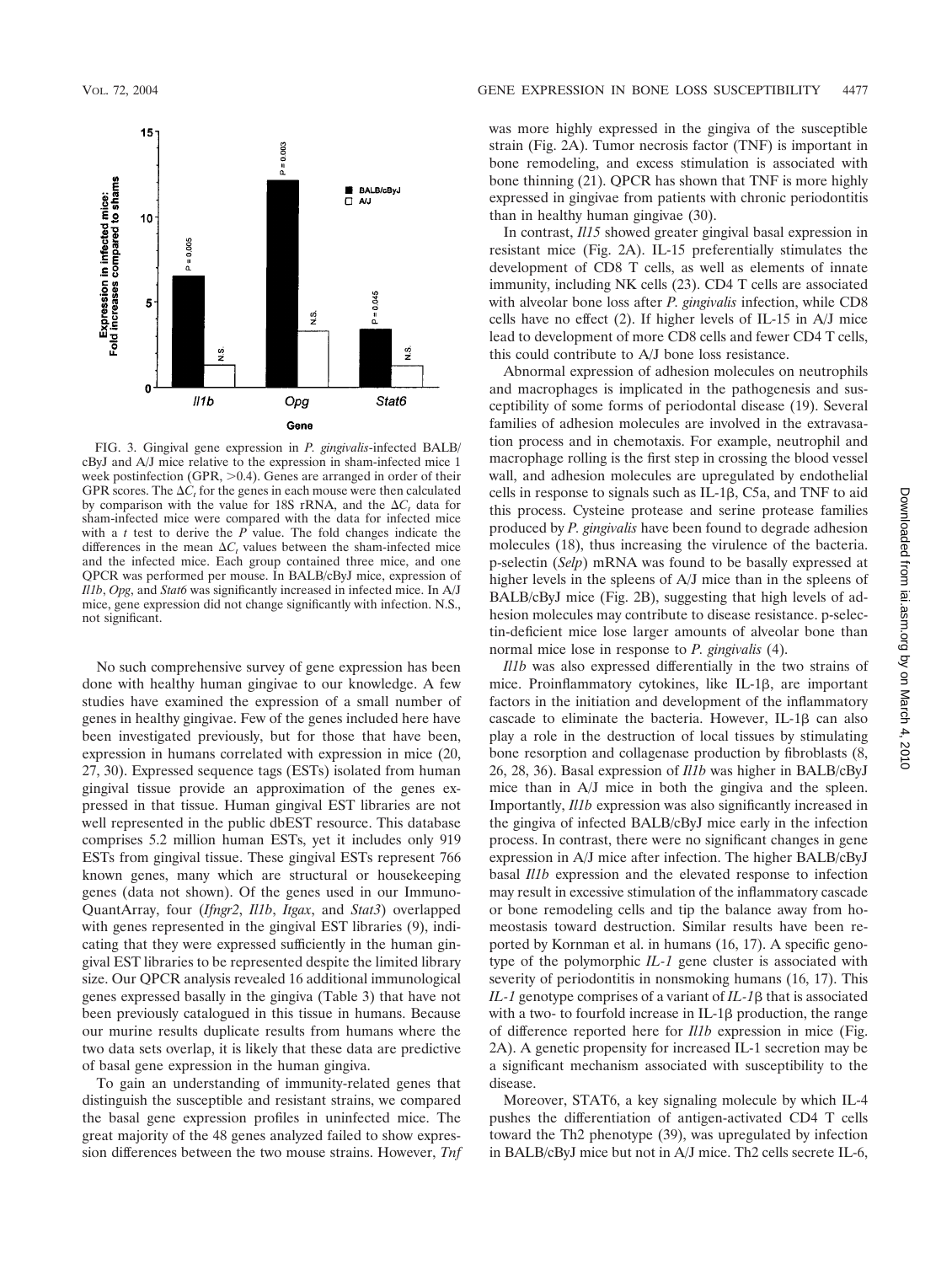

FIG. 3. Gingival gene expression in *P. gingivalis*-infected BALB/ cByJ and A/J mice relative to the expression in sham-infected mice 1 week postinfection (GPR,  $>0.4$ ). Genes are arranged in order of their GPR scores. The  $\Delta C_t$  for the genes in each mouse were then calculated by comparison with the value for 18S rRNA, and the  $\Delta C_t$  data for sham-infected mice were compared with the data for infected mice with a *t* test to derive the *P* value. The fold changes indicate the differences in the mean  $\Delta C_t$  values between the sham-infected mice and the infected mice. Each group contained three mice, and one QPCR was performed per mouse. In BALB/cByJ mice, expression of *Il1b*, *Opg*, and *Stat6* was significantly increased in infected mice. In A/J mice, gene expression did not change significantly with infection. N.S., not significant.

No such comprehensive survey of gene expression has been done with healthy human gingivae to our knowledge. A few studies have examined the expression of a small number of genes in healthy gingivae. Few of the genes included here have been investigated previously, but for those that have been, expression in humans correlated with expression in mice (20, 27, 30). Expressed sequence tags (ESTs) isolated from human gingival tissue provide an approximation of the genes expressed in that tissue. Human gingival EST libraries are not well represented in the public dbEST resource. This database comprises 5.2 million human ESTs, yet it includes only 919 ESTs from gingival tissue. These gingival ESTs represent 766 known genes, many which are structural or housekeeping genes (data not shown). Of the genes used in our Immuno-QuantArray, four (*Ifngr2*, *Il1b*, *Itgax*, and *Stat3*) overlapped with genes represented in the gingival EST libraries (9), indicating that they were expressed sufficiently in the human gingival EST libraries to be represented despite the limited library size. Our QPCR analysis revealed 16 additional immunological genes expressed basally in the gingiva (Table 3) that have not been previously catalogued in this tissue in humans. Because our murine results duplicate results from humans where the two data sets overlap, it is likely that these data are predictive of basal gene expression in the human gingiva.

To gain an understanding of immunity-related genes that distinguish the susceptible and resistant strains, we compared the basal gene expression profiles in uninfected mice. The great majority of the 48 genes analyzed failed to show expression differences between the two mouse strains. However, *Tnf* was more highly expressed in the gingiva of the susceptible strain (Fig. 2A). Tumor necrosis factor (TNF) is important in bone remodeling, and excess stimulation is associated with bone thinning (21). QPCR has shown that TNF is more highly expressed in gingivae from patients with chronic periodontitis than in healthy human gingivae (30).

In contrast, *Il15* showed greater gingival basal expression in resistant mice (Fig. 2A). IL-15 preferentially stimulates the development of CD8 T cells, as well as elements of innate immunity, including NK cells (23). CD4 T cells are associated with alveolar bone loss after *P. gingivalis* infection, while CD8 cells have no effect (2). If higher levels of IL-15 in A/J mice lead to development of more CD8 cells and fewer CD4 T cells, this could contribute to A/J bone loss resistance.

Abnormal expression of adhesion molecules on neutrophils and macrophages is implicated in the pathogenesis and susceptibility of some forms of periodontal disease (19). Several families of adhesion molecules are involved in the extravasation process and in chemotaxis. For example, neutrophil and macrophage rolling is the first step in crossing the blood vessel wall, and adhesion molecules are upregulated by endothelial cells in response to signals such as IL-1 $\beta$ , C5a, and TNF to aid this process. Cysteine protease and serine protease families produced by *P. gingivalis* have been found to degrade adhesion molecules (18), thus increasing the virulence of the bacteria. p-selectin (*Selp*) mRNA was found to be basally expressed at higher levels in the spleens of A/J mice than in the spleens of BALB/cByJ mice (Fig. 2B), suggesting that high levels of adhesion molecules may contribute to disease resistance. p-selectin-deficient mice lose larger amounts of alveolar bone than normal mice lose in response to *P. gingivalis* (4).

*Il1b* was also expressed differentially in the two strains of mice. Proinflammatory cytokines, like IL-1 $\beta$ , are important factors in the initiation and development of the inflammatory cascade to eliminate the bacteria. However, IL-1 $\beta$  can also play a role in the destruction of local tissues by stimulating bone resorption and collagenase production by fibroblasts (8, 26, 28, 36). Basal expression of *Il1b* was higher in BALB/cByJ mice than in A/J mice in both the gingiva and the spleen. Importantly, *Il1b* expression was also significantly increased in the gingiva of infected BALB/cByJ mice early in the infection process. In contrast, there were no significant changes in gene expression in A/J mice after infection. The higher BALB/cByJ basal *Il1b* expression and the elevated response to infection may result in excessive stimulation of the inflammatory cascade or bone remodeling cells and tip the balance away from homeostasis toward destruction. Similar results have been reported by Kornman et al. in humans (16, 17). A specific genotype of the polymorphic *IL-1* gene cluster is associated with severity of periodontitis in nonsmoking humans (16, 17). This  $IL-1$  genotype comprises of a variant of  $IL-1\beta$  that is associated with a two- to fourfold increase in  $IL-1\beta$  production, the range of difference reported here for *Il1b* expression in mice (Fig. 2A). A genetic propensity for increased IL-1 secretion may be a significant mechanism associated with susceptibility to the disease.

Moreover, STAT6, a key signaling molecule by which IL-4 pushes the differentiation of antigen-activated CD4 T cells toward the Th2 phenotype (39), was upregulated by infection in BALB/cByJ mice but not in A/J mice. Th2 cells secrete IL-6,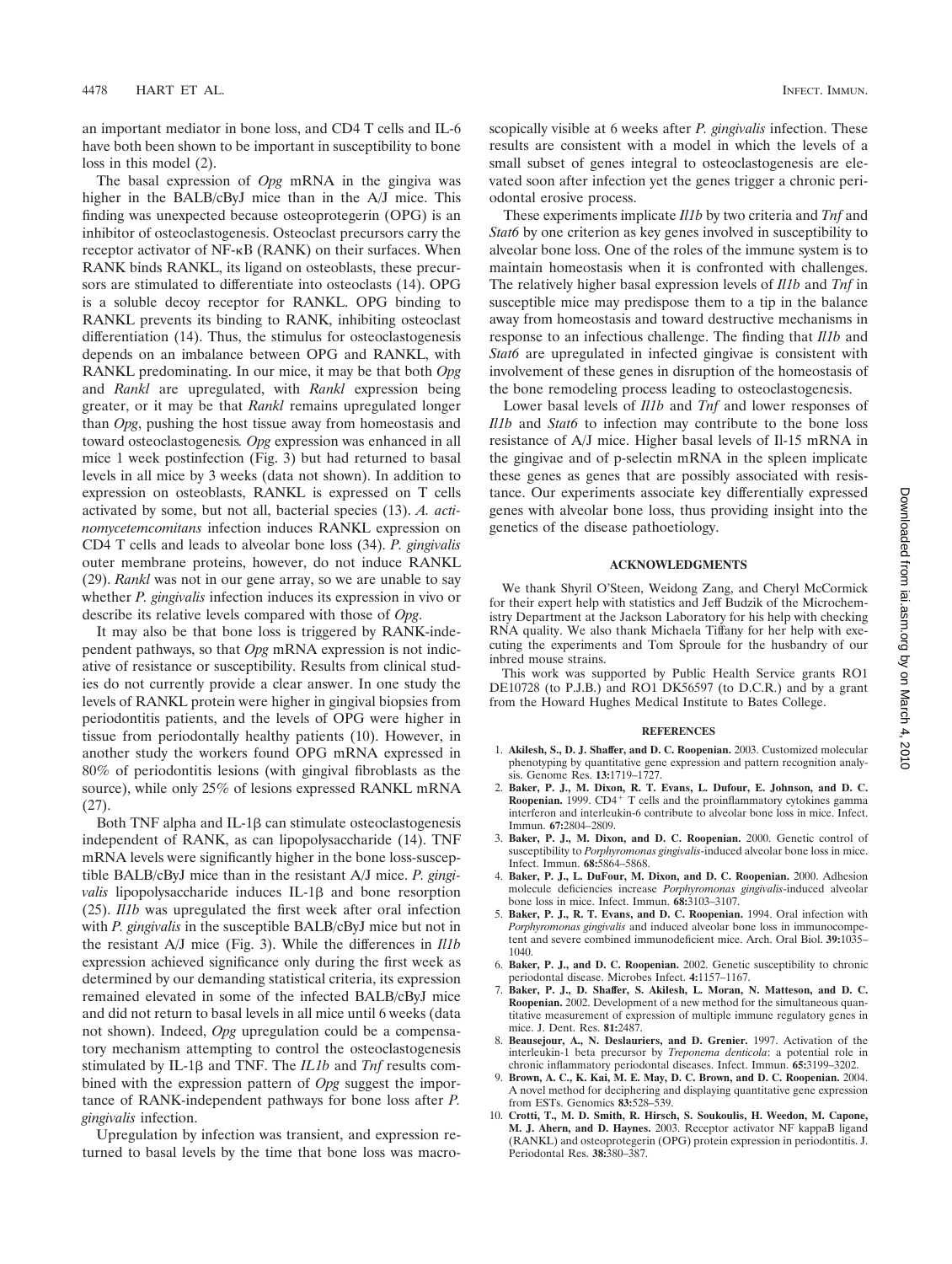an important mediator in bone loss, and CD4 T cells and IL-6 have both been shown to be important in susceptibility to bone loss in this model (2).

The basal expression of *Opg* mRNA in the gingiva was higher in the BALB/cByJ mice than in the A/J mice. This finding was unexpected because osteoprotegerin (OPG) is an inhibitor of osteoclastogenesis. Osteoclast precursors carry the receptor activator of NF- $\kappa$ B (RANK) on their surfaces. When RANK binds RANKL, its ligand on osteoblasts, these precursors are stimulated to differentiate into osteoclasts (14). OPG is a soluble decoy receptor for RANKL. OPG binding to RANKL prevents its binding to RANK, inhibiting osteoclast differentiation (14). Thus, the stimulus for osteoclastogenesis depends on an imbalance between OPG and RANKL, with RANKL predominating. In our mice, it may be that both *Opg* and *Rankl* are upregulated, with *Rankl* expression being greater, or it may be that *Rankl* remains upregulated longer than *Opg*, pushing the host tissue away from homeostasis and toward osteoclastogenesis*. Opg* expression was enhanced in all mice 1 week postinfection (Fig. 3) but had returned to basal levels in all mice by 3 weeks (data not shown). In addition to expression on osteoblasts, RANKL is expressed on T cells activated by some, but not all, bacterial species (13). *A. actinomycetemcomitans* infection induces RANKL expression on CD4 T cells and leads to alveolar bone loss (34). *P. gingivalis* outer membrane proteins, however, do not induce RANKL (29). *Rankl* was not in our gene array, so we are unable to say whether *P. gingivalis* infection induces its expression in vivo or describe its relative levels compared with those of *Opg*.

It may also be that bone loss is triggered by RANK-independent pathways, so that *Opg* mRNA expression is not indicative of resistance or susceptibility. Results from clinical studies do not currently provide a clear answer. In one study the levels of RANKL protein were higher in gingival biopsies from periodontitis patients, and the levels of OPG were higher in tissue from periodontally healthy patients (10). However, in another study the workers found OPG mRNA expressed in 80% of periodontitis lesions (with gingival fibroblasts as the source), while only 25% of lesions expressed RANKL mRNA (27).

Both TNF alpha and IL-1 $\beta$  can stimulate osteoclastogenesis independent of RANK, as can lipopolysaccharide (14). TNF mRNA levels were significantly higher in the bone loss-susceptible BALB/cByJ mice than in the resistant A/J mice. *P. gingivalis* lipopolysaccharide induces IL-1 $\beta$  and bone resorption (25). *Il1b* was upregulated the first week after oral infection with *P. gingivalis* in the susceptible BALB/cByJ mice but not in the resistant A/J mice (Fig. 3). While the differences in *Il1b* expression achieved significance only during the first week as determined by our demanding statistical criteria, its expression remained elevated in some of the infected BALB/cByJ mice and did not return to basal levels in all mice until 6 weeks (data not shown). Indeed, *Opg* upregulation could be a compensatory mechanism attempting to control the osteoclastogenesis stimulated by IL-1 $\beta$  and TNF. The *IL1b* and *Tnf* results combined with the expression pattern of *Opg* suggest the importance of RANK-independent pathways for bone loss after *P. gingivalis* infection.

Upregulation by infection was transient, and expression returned to basal levels by the time that bone loss was macroscopically visible at 6 weeks after *P. gingivalis* infection. These results are consistent with a model in which the levels of a small subset of genes integral to osteoclastogenesis are elevated soon after infection yet the genes trigger a chronic periodontal erosive process.

These experiments implicate *Il1b* by two criteria and *Tnf* and *Stat6* by one criterion as key genes involved in susceptibility to alveolar bone loss. One of the roles of the immune system is to maintain homeostasis when it is confronted with challenges. The relatively higher basal expression levels of *Il1b* and *Tnf* in susceptible mice may predispose them to a tip in the balance away from homeostasis and toward destructive mechanisms in response to an infectious challenge. The finding that *Il1b* and *Stat6* are upregulated in infected gingivae is consistent with involvement of these genes in disruption of the homeostasis of the bone remodeling process leading to osteoclastogenesis.

Lower basal levels of *Il1b* and *Tnf* and lower responses of *Il1b* and *Stat6* to infection may contribute to the bone loss resistance of A/J mice. Higher basal levels of Il-15 mRNA in the gingivae and of p-selectin mRNA in the spleen implicate these genes as genes that are possibly associated with resistance. Our experiments associate key differentially expressed genes with alveolar bone loss, thus providing insight into the genetics of the disease pathoetiology.

### **ACKNOWLEDGMENTS**

We thank Shyril O'Steen, Weidong Zang, and Cheryl McCormick for their expert help with statistics and Jeff Budzik of the Microchemistry Department at the Jackson Laboratory for his help with checking RNA quality. We also thank Michaela Tiffany for her help with executing the experiments and Tom Sproule for the husbandry of our inbred mouse strains.

This work was supported by Public Health Service grants RO1 DE10728 (to P.J.B.) and RO1 DK56597 (to D.C.R.) and by a grant from the Howard Hughes Medical Institute to Bates College.

#### **REFERENCES**

- 1. **Akilesh, S., D. J. Shaffer, and D. C. Roopenian.** 2003. Customized molecular phenotyping by quantitative gene expression and pattern recognition analysis. Genome Res. **13:**1719–1727.
- 2. **Baker, P. J., M. Dixon, R. T. Evans, L. Dufour, E. Johnson, and D. C. Roopenian.** 1999.  $CD4^+$  T cells and the proinflammatory cytokines gamma interferon and interleukin-6 contribute to alveolar bone loss in mice. Infect. Immun. **67:**2804–2809.
- 3. **Baker, P. J., M. Dixon, and D. C. Roopenian.** 2000. Genetic control of susceptibility to *Porphyromonas gingivalis*-induced alveolar bone loss in mice. Infect. Immun. **68:**5864–5868.
- 4. **Baker, P. J., L. DuFour, M. Dixon, and D. C. Roopenian.** 2000. Adhesion molecule deficiencies increase *Porphyromonas gingivalis*-induced alveolar bone loss in mice. Infect. Immun. **68:**3103–3107.
- 5. **Baker, P. J., R. T. Evans, and D. C. Roopenian.** 1994. Oral infection with *Porphyromonas gingivalis* and induced alveolar bone loss in immunocompetent and severe combined immunodeficient mice. Arch. Oral Biol. **39:**1035– 1040.
- 6. **Baker, P. J., and D. C. Roopenian.** 2002. Genetic susceptibility to chronic periodontal disease. Microbes Infect. **4:**1157–1167.
- 7. **Baker, P. J., D. Shaffer, S. Akilesh, L. Moran, N. Matteson, and D. C. Roopenian.** 2002. Development of a new method for the simultaneous quantitative measurement of expression of multiple immune regulatory genes in mice. J. Dent. Res. **81:**2487.
- 8. **Beausejour, A., N. Deslauriers, and D. Grenier.** 1997. Activation of the interleukin-1 beta precursor by *Treponema denticola*: a potential role in chronic inflammatory periodontal diseases. Infect. Immun. **65:**3199–3202.
- 9. **Brown, A. C., K. Kai, M. E. May, D. C. Brown, and D. C. Roopenian.** 2004. A novel method for deciphering and displaying quantitative gene expression from ESTs. Genomics **83:**528–539.
- 10. **Crotti, T., M. D. Smith, R. Hirsch, S. Soukoulis, H. Weedon, M. Capone, M. J. Ahern, and D. Haynes.** 2003. Receptor activator NF kappaB ligand (RANKL) and osteoprotegerin (OPG) protein expression in periodontitis. J. Periodontal Res. **38:**380–387.